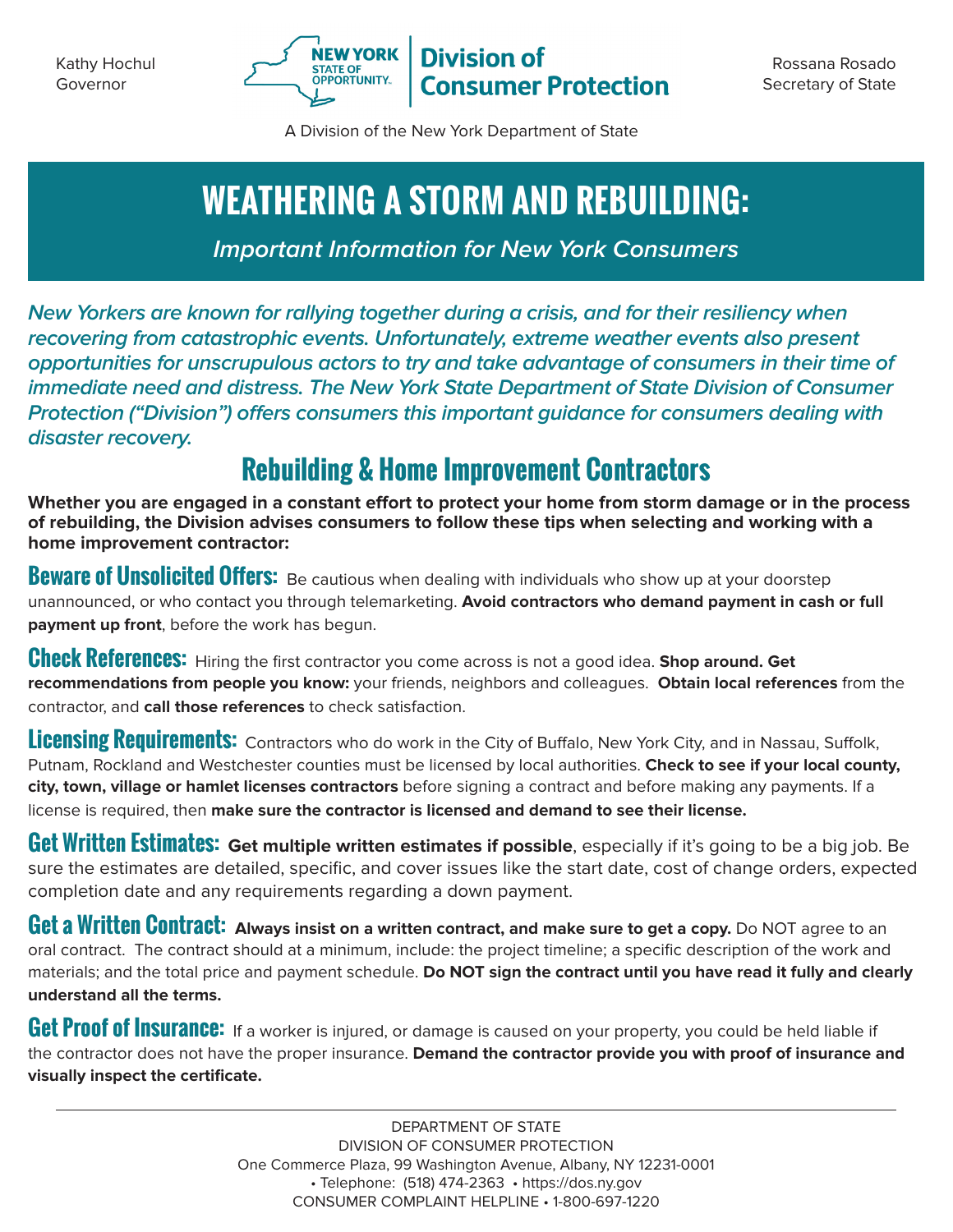Kathy Hochul Governor



A Division of the New York Department of State

# **WEATHERING A STORM AND REBUILDING:**

**Important Information for New York Consumers**

**New Yorkers are known for rallying together during a crisis, and for their resiliency when recovering from catastrophic events. Unfortunately, extreme weather events also present opportunities for unscrupulous actors to try and take advantage of consumers in their time of immediate need and distress. The New York State Department of State Division of Consumer Protection ("Division") offers consumers this important guidance for consumers dealing with disaster recovery.**

### **Rebuilding & Home Improvement Contractors**

**Whether you are engaged in a constant effort to protect your home from storm damage or in the process of rebuilding, the Division advises consumers to follow these tips when selecting and working with a home improvement contractor:**

**Beware of Unsolicited Offers:** Be cautious when dealing with individuals who show up at your doorstep unannounced, or who contact you through telemarketing. **Avoid contractors who demand payment in cash or full payment up front**, before the work has begun.

**Check References:** Hiring the first contractor you come across is not a good idea. **Shop around. Get recommendations from people you know:** your friends, neighbors and colleagues. **Obtain local references** from the contractor, and **call those references** to check satisfaction.

**Licensing Requirements:** Contractors who do work in the City of Buffalo, New York City, and in Nassau, Suffolk, Putnam, Rockland and Westchester counties must be licensed by local authorities. **Check to see if your local county, city, town, village or hamlet licenses contractors** before signing a contract and before making any payments. If a license is required, then **make sure the contractor is licensed and demand to see their license.** 

**Get Written Estimates: Get multiple written estimates if possible**, especially if it's going to be a big job. Be sure the estimates are detailed, specific, and cover issues like the start date, cost of change orders, expected completion date and any requirements regarding a down payment.

**Get a Written Contract: Always insist on a written contract, and make sure to get a copy.** Do NOT agree to an oral contract. The contract should at a minimum, include: the project timeline; a specific description of the work and materials; and the total price and payment schedule. **Do NOT sign the contract until you have read it fully and clearly understand all the terms.**

**Get Proof of Insurance:** If a worker is injured, or damage is caused on your property, you could be held liable if the contractor does not have the proper insurance. **Demand the contractor provide you with proof of insurance and visually inspect the certificate.**